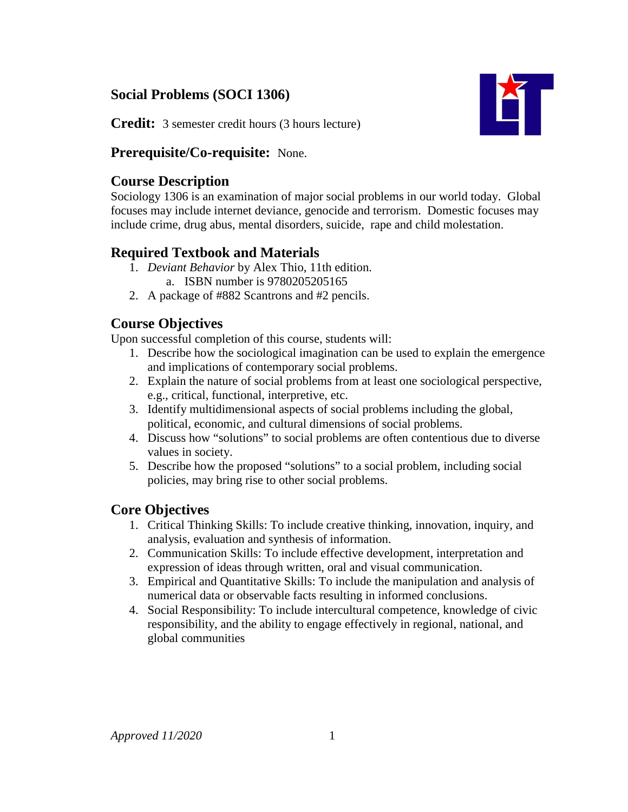## **Social Problems (SOCI 1306)**



**Credit:** 3 semester credit hours (3 hours lecture)

## **Prerequisite/Co-requisite:** None.

### **Course Description**

Sociology 1306 is an examination of major social problems in our world today. Global focuses may include internet deviance, genocide and terrorism. Domestic focuses may include crime, drug abus, mental disorders, suicide, rape and child molestation.

## **Required Textbook and Materials**

- 1. *Deviant Behavior* by Alex Thio, 11th edition.
	- a. ISBN number is 9780205205165
- 2. A package of #882 Scantrons and #2 pencils.

# **Course Objectives**

Upon successful completion of this course, students will:

- 1. Describe how the sociological imagination can be used to explain the emergence and implications of contemporary social problems.
- 2. Explain the nature of social problems from at least one sociological perspective, e.g., critical, functional, interpretive, etc.
- 3. Identify multidimensional aspects of social problems including the global, political, economic, and cultural dimensions of social problems.
- 4. Discuss how "solutions" to social problems are often contentious due to diverse values in society.
- 5. Describe how the proposed "solutions" to a social problem, including social policies, may bring rise to other social problems.

## **Core Objectives**

- 1. Critical Thinking Skills: To include creative thinking, innovation, inquiry, and analysis, evaluation and synthesis of information.
- 2. Communication Skills: To include effective development, interpretation and expression of ideas through written, oral and visual communication.
- 3. Empirical and Quantitative Skills: To include the manipulation and analysis of numerical data or observable facts resulting in informed conclusions.
- 4. Social Responsibility: To include intercultural competence, knowledge of civic responsibility, and the ability to engage effectively in regional, national, and global communities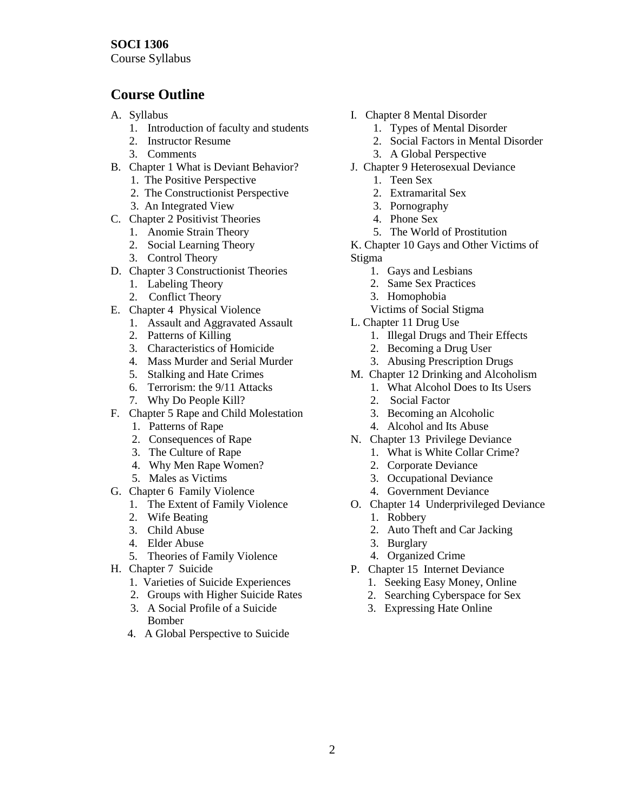Course Syllabus

## **Course Outline**

- A. Syllabus
	- 1. Introduction of faculty and students
	- 2. Instructor Resume
	- 3. Comments
- B. Chapter 1 What is Deviant Behavior?
	- 1. The Positive Perspective
	- 2. The Constructionist Perspective
	- 3. An Integrated View
- C. Chapter 2 Positivist Theories
	- 1. Anomie Strain Theory
	- 2. Social Learning Theory
	- 3. Control Theory
- D. Chapter 3 Constructionist Theories
	- 1. Labeling Theory
	- 2. Conflict Theory
- E. Chapter 4 Physical Violence
	- 1. Assault and Aggravated Assault
	- 2. Patterns of Killing
	- 3. Characteristics of Homicide
	- 4. Mass Murder and Serial Murder
	- 5. Stalking and Hate Crimes
	- 6. Terrorism: the 9/11 Attacks
	- 7. Why Do People Kill?
- F. Chapter 5 Rape and Child Molestation
	- 1. Patterns of Rape
	- 2. Consequences of Rape
	- 3. The Culture of Rape
	- 4. Why Men Rape Women?
	- 5. Males as Victims
- G. Chapter 6 Family Violence
	- 1. The Extent of Family Violence
	- 2. Wife Beating
	- 3. Child Abuse
	- 4. Elder Abuse
	- 5. Theories of Family Violence
- H. Chapter 7 Suicide
	- 1. Varieties of Suicide Experiences
	- 2. Groups with Higher Suicide Rates
	- 3. A Social Profile of a Suicide Bomber
	- 4. A Global Perspective to Suicide
- I. Chapter 8 Mental Disorder
	- 1. Types of Mental Disorder
	- 2. Social Factors in Mental Disorder
	- 3. A Global Perspective
- J. Chapter 9 Heterosexual Deviance
	- 1. Teen Sex
	- 2. Extramarital Sex
	- 3. Pornography
	- 4. Phone Sex
	- 5. The World of Prostitution

K. Chapter 10 Gays and Other Victims of Stigma

- 1. Gays and Lesbians
- 2. Same Sex Practices
- 3. Homophobia
- Victims of Social Stigma
- L. Chapter 11 Drug Use
	- 1. Illegal Drugs and Their Effects
	- 2. Becoming a Drug User
	- 3. Abusing Prescription Drugs
- M. Chapter 12 Drinking and Alcoholism
	- 1. What Alcohol Does to Its Users
	- 2. Social Factor
	- 3. Becoming an Alcoholic
	- 4. Alcohol and Its Abuse
- N. Chapter 13 Privilege Deviance
	- 1. What is White Collar Crime?
		- 2. Corporate Deviance
		- 3. Occupational Deviance
		- 4. Government Deviance
- O. Chapter 14 Underprivileged Deviance
	- 1. Robbery
	- 2. Auto Theft and Car Jacking
	- 3. Burglary
	- 4. Organized Crime
- P. Chapter 15 Internet Deviance
	- 1. Seeking Easy Money, Online
	- 2. Searching Cyberspace for Sex
	- 3. Expressing Hate Online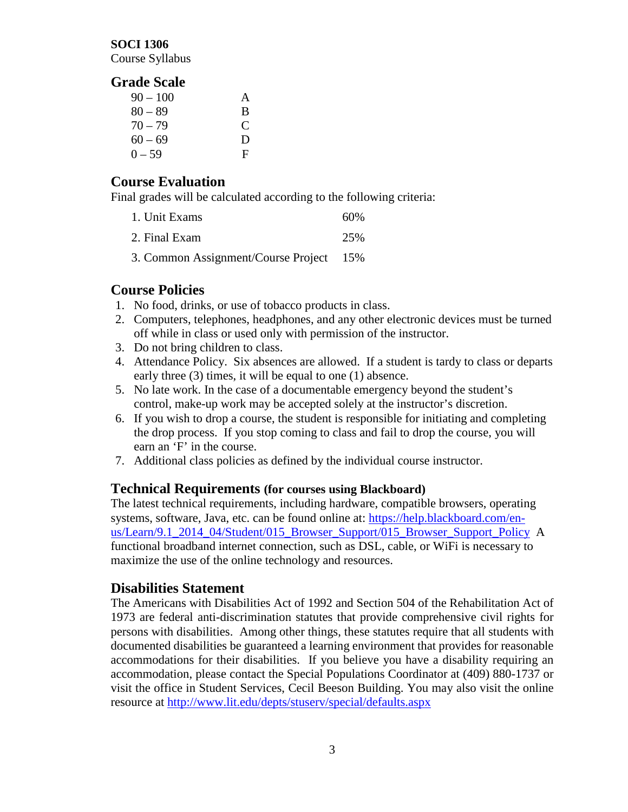#### **SOCI 1306**

Course Syllabus

#### **Grade Scale**

| $90 - 100$ | A |
|------------|---|
| $80 - 89$  | B |
| $70 - 79$  | C |
| $60 - 69$  | D |
| $0 - 59$   | F |

### **Course Evaluation**

Final grades will be calculated according to the following criteria:

| 1. Unit Exams | 60% |
|---------------|-----|
| 2. Final Exam | 25% |

3. Common Assignment/Course Project 15%

### **Course Policies**

- 1. No food, drinks, or use of tobacco products in class.
- 2. Computers, telephones, headphones, and any other electronic devices must be turned off while in class or used only with permission of the instructor.
- 3. Do not bring children to class.
- 4. Attendance Policy. Six absences are allowed. If a student is tardy to class or departs early three (3) times, it will be equal to one (1) absence.
- 5. No late work. In the case of a documentable emergency beyond the student's control, make-up work may be accepted solely at the instructor's discretion.
- 6. If you wish to drop a course, the student is responsible for initiating and completing the drop process. If you stop coming to class and fail to drop the course, you will earn an 'F' in the course.
- 7. Additional class policies as defined by the individual course instructor.

### **Technical Requirements (for courses using Blackboard)**

The latest technical requirements, including hardware, compatible browsers, operating systems, software, Java, etc. can be found online at: [https://help.blackboard.com/en](https://help.blackboard.com/en-us/Learn/9.1_2014_04/Student/015_Browser_Support/015_Browser_Support_Policy)[us/Learn/9.1\\_2014\\_04/Student/015\\_Browser\\_Support/015\\_Browser\\_Support\\_Policy](https://help.blackboard.com/en-us/Learn/9.1_2014_04/Student/015_Browser_Support/015_Browser_Support_Policy) A functional broadband internet connection, such as DSL, cable, or WiFi is necessary to maximize the use of the online technology and resources.

### **Disabilities Statement**

The Americans with Disabilities Act of 1992 and Section 504 of the Rehabilitation Act of 1973 are federal anti-discrimination statutes that provide comprehensive civil rights for persons with disabilities. Among other things, these statutes require that all students with documented disabilities be guaranteed a learning environment that provides for reasonable accommodations for their disabilities. If you believe you have a disability requiring an accommodation, please contact the Special Populations Coordinator at (409) 880-1737 or visit the office in Student Services, Cecil Beeson Building. You may also visit the online resource at<http://www.lit.edu/depts/stuserv/special/defaults.aspx>